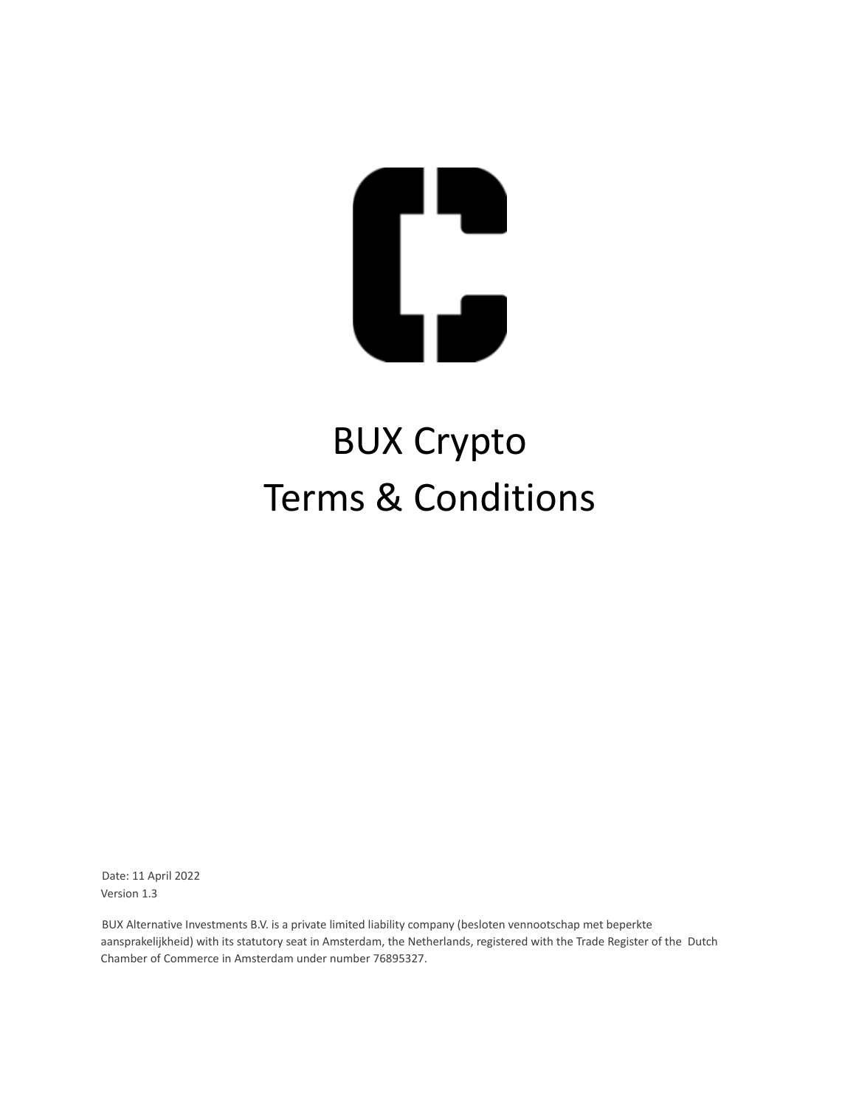

# BUX Crypto Terms & Conditions

Date: 11 April 2022 Version 1.3

BUX Alternative Investments B.V. is a private limited liability company (besloten vennootschap met beperkte aansprakelijkheid) with its statutory seat in Amsterdam, the Netherlands, registered with the Trade Register of the Dutch Chamber of Commerce in Amsterdam under number 76895327.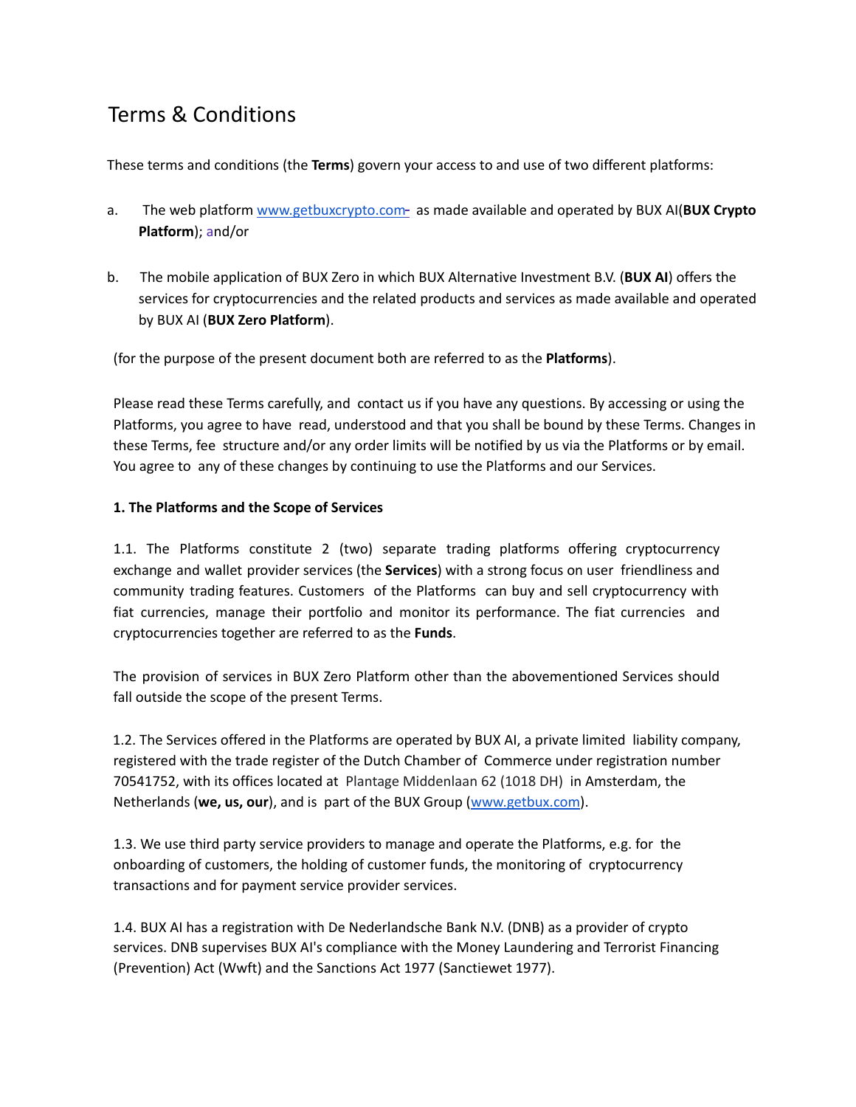# Terms & Conditions

These terms and conditions (the **Terms**) govern your access to and use of two different platforms:

- a. The web platform www.getbuxcrypto.com- as made available and operated by BUX AI(BUX Crypto **Platform**); and/or
- b. The mobile application of BUX Zero in which BUX Alternative Investment B.V. (**BUX AI**) offers the services for cryptocurrencies and the related products and services as made available and operated by BUX AI (**BUX Zero Platform**).

(for the purpose of the present document both are referred to as the **Platforms**).

Please read these Terms carefully, and contact us if you have any questions. By accessing or using the Platforms, you agree to have read, understood and that you shall be bound by these Terms. Changes in these Terms, fee structure and/or any order limits will be notified by us via the Platforms or by email. You agree to any of these changes by continuing to use the Platforms and our Services.

#### **1. The Platforms and the Scope of Services**

1.1. The Platforms constitute 2 (two) separate trading platforms offering cryptocurrency exchange and wallet provider services (the **Services**) with a strong focus on user friendliness and community trading features. Customers of the Platforms can buy and sell cryptocurrency with fiat currencies, manage their portfolio and monitor its performance. The fiat currencies and cryptocurrencies together are referred to as the **Funds**.

The provision of services in BUX Zero Platform other than the abovementioned Services should fall outside the scope of the present Terms.

1.2. The Services offered in the Platforms are operated by BUX AI, a private limited liability company, registered with the trade register of the Dutch Chamber of Commerce under registration number 70541752, with its offices located at Plantage Middenlaan 62 (1018 DH) in Amsterdam, the Netherlands (**we, us, our**), and is part of the BUX Group (www.getbux.com).

1.3. We use third party service providers to manage and operate the Platforms, e.g. for the onboarding of customers, the holding of customer funds, the monitoring of cryptocurrency transactions and for payment service provider services.

1.4. BUX AI has a registration with De Nederlandsche Bank N.V. (DNB) as a provider of crypto services. DNB supervises BUX AI's compliance with the Money Laundering and Terrorist Financing (Prevention) Act (Wwft) and the Sanctions Act 1977 (Sanctiewet 1977).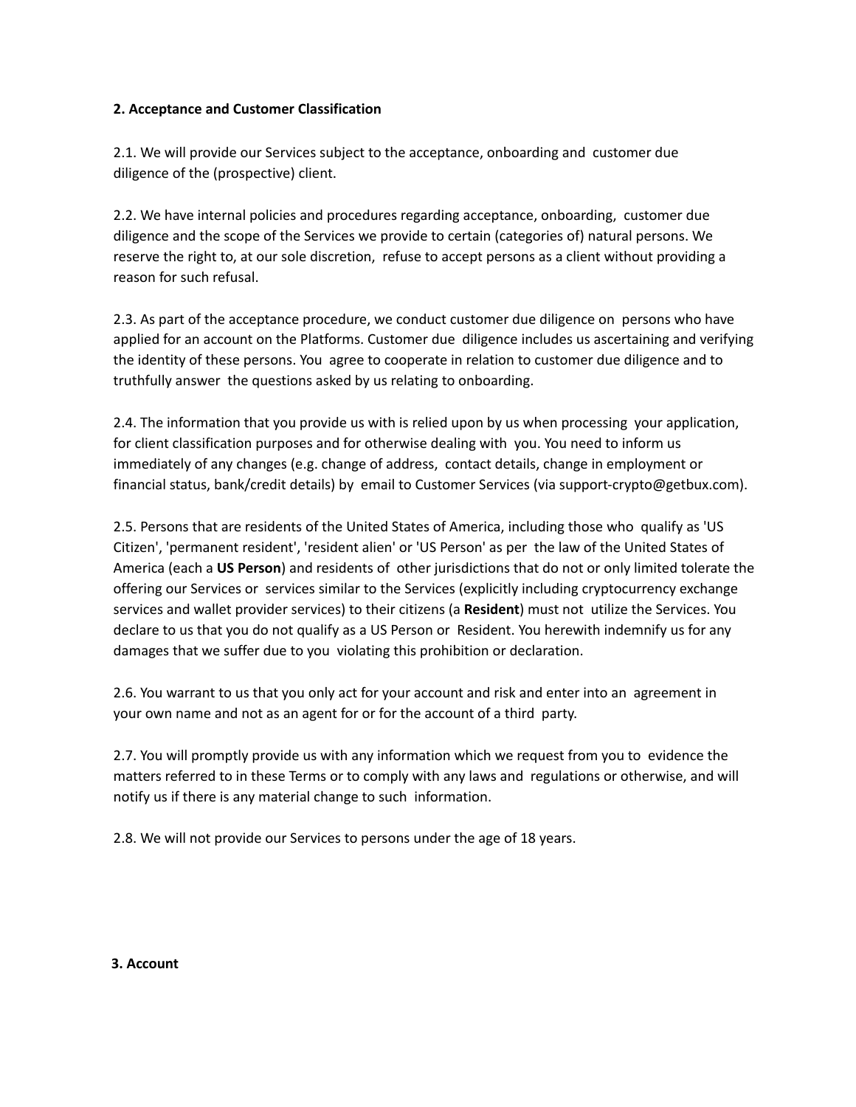#### **2. Acceptance and Customer Classification**

2.1. We will provide our Services subject to the acceptance, onboarding and customer due diligence of the (prospective) client.

2.2. We have internal policies and procedures regarding acceptance, onboarding, customer due diligence and the scope of the Services we provide to certain (categories of) natural persons. We reserve the right to, at our sole discretion, refuse to accept persons as a client without providing a reason for such refusal.

2.3. As part of the acceptance procedure, we conduct customer due diligence on persons who have applied for an account on the Platforms. Customer due diligence includes us ascertaining and verifying the identity of these persons. You agree to cooperate in relation to customer due diligence and to truthfully answer the questions asked by us relating to onboarding.

2.4. The information that you provide us with is relied upon by us when processing your application, for client classification purposes and for otherwise dealing with you. You need to inform us immediately of any changes (e.g. change of address, contact details, change in employment or financial status, bank/credit details) by email to Customer Services (via support-crypto@getbux.com).

2.5. Persons that are residents of the United States of America, including those who qualify as 'US Citizen', 'permanent resident', 'resident alien' or 'US Person' as per the law of the United States of America (each a **US Person**) and residents of other jurisdictions that do not or only limited tolerate the offering our Services or services similar to the Services (explicitly including cryptocurrency exchange services and wallet provider services) to their citizens (a **Resident**) must not utilize the Services. You declare to us that you do not qualify as a US Person or Resident. You herewith indemnify us for any damages that we suffer due to you violating this prohibition or declaration.

2.6. You warrant to us that you only act for your account and risk and enter into an agreement in your own name and not as an agent for or for the account of a third party.

2.7. You will promptly provide us with any information which we request from you to evidence the matters referred to in these Terms or to comply with any laws and regulations or otherwise, and will notify us if there is any material change to such information.

2.8. We will not provide our Services to persons under the age of 18 years.

#### **3. Account**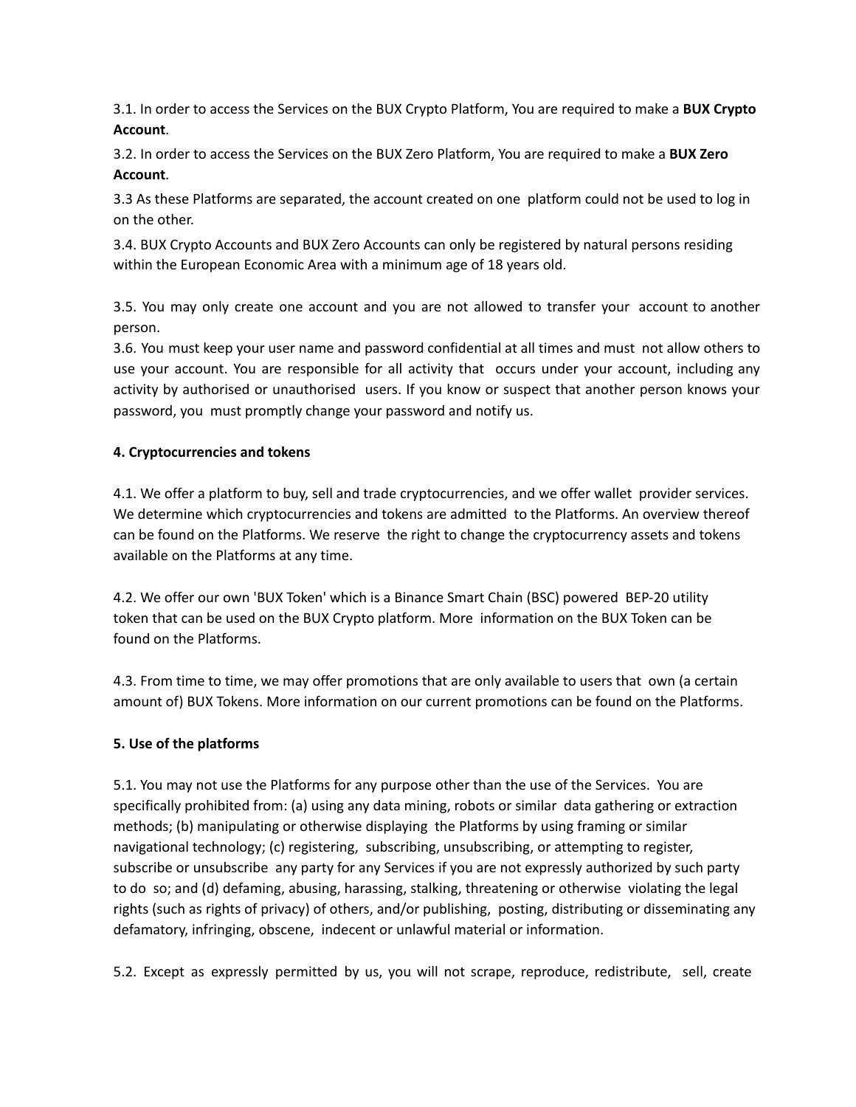3.1. In order to access the Services on the BUX Crypto Platform, You are required to make a **BUX Crypto Account**.

3.2. In order to access the Services on the BUX Zero Platform, You are required to make a **BUX Zero Account**.

3.3 As these Platforms are separated, the account created on one platform could not be used to log in on the other.

3.4. BUX Crypto Accounts and BUX Zero Accounts can only be registered by natural persons residing within the European Economic Area with a minimum age of 18 years old.

3.5. You may only create one account and you are not allowed to transfer your account to another person.

3.6. You must keep your user name and password confidential at all times and must not allow others to use your account. You are responsible for all activity that occurs under your account, including any activity by authorised or unauthorised users. If you know or suspect that another person knows your password, you must promptly change your password and notify us.

#### **4. Cryptocurrencies and tokens**

4.1. We offer a platform to buy, sell and trade cryptocurrencies, and we offer wallet provider services. We determine which cryptocurrencies and tokens are admitted to the Platforms. An overview thereof can be found on the Platforms. We reserve the right to change the cryptocurrency assets and tokens available on the Platforms at any time.

4.2. We offer our own 'BUX Token' which is a Binance Smart Chain (BSC) powered BEP-20 utility token that can be used on the BUX Crypto platform. More information on the BUX Token can be found on the Platforms.

4.3. From time to time, we may offer promotions that are only available to users that own (a certain amount of) BUX Tokens. More information on our current promotions can be found on the Platforms.

#### **5. Use of the platforms**

5.1. You may not use the Platforms for any purpose other than the use of the Services. You are specifically prohibited from: (a) using any data mining, robots or similar data gathering or extraction methods; (b) manipulating or otherwise displaying the Platforms by using framing or similar navigational technology; (c) registering, subscribing, unsubscribing, or attempting to register, subscribe or unsubscribe any party for any Services if you are not expressly authorized by such party to do so; and (d) defaming, abusing, harassing, stalking, threatening or otherwise violating the legal rights (such as rights of privacy) of others, and/or publishing, posting, distributing or disseminating any defamatory, infringing, obscene, indecent or unlawful material or information.

5.2. Except as expressly permitted by us, you will not scrape, reproduce, redistribute, sell, create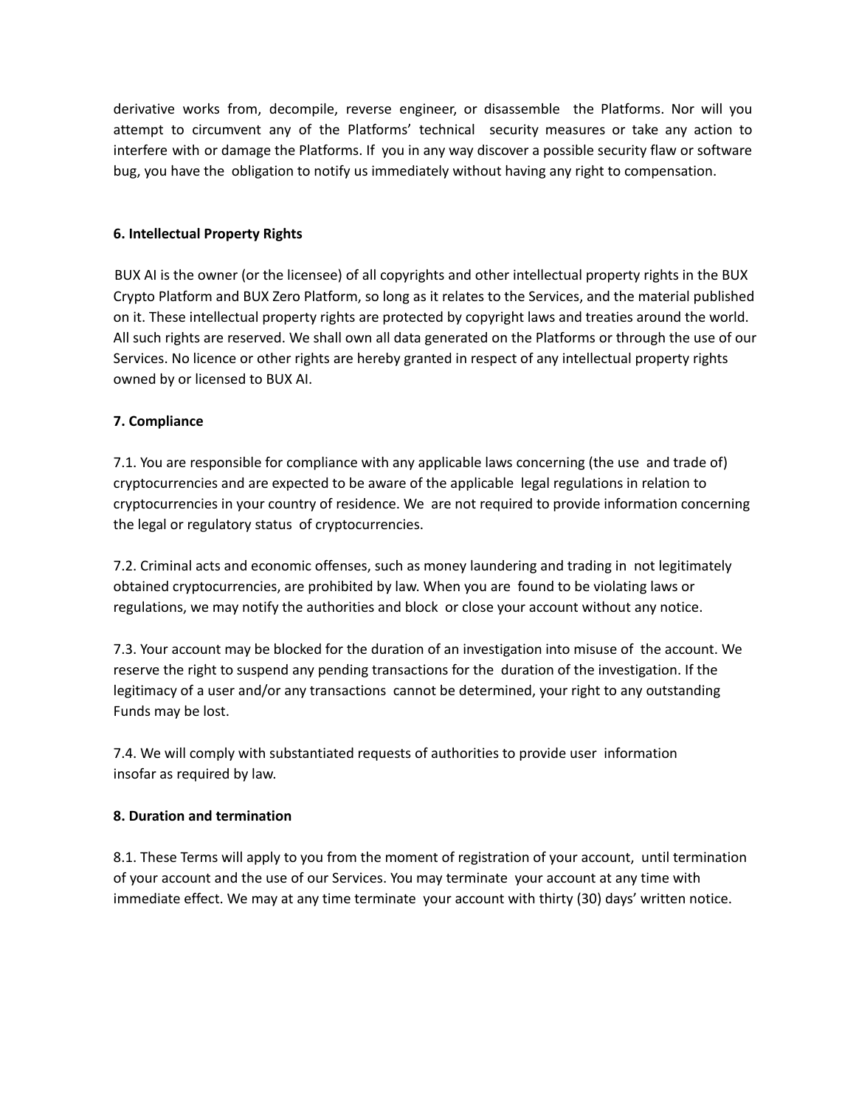derivative works from, decompile, reverse engineer, or disassemble the Platforms. Nor will you attempt to circumvent any of the Platforms' technical security measures or take any action to interfere with or damage the Platforms. If you in any way discover a possible security flaw or software bug, you have the obligation to notify us immediately without having any right to compensation.

#### **6. Intellectual Property Rights**

BUX AI is the owner (or the licensee) of all copyrights and other intellectual property rights in the BUX Crypto Platform and BUX Zero Platform, so long as it relates to the Services, and the material published on it. These intellectual property rights are protected by copyright laws and treaties around the world. All such rights are reserved. We shall own all data generated on the Platforms or through the use of our Services. No licence or other rights are hereby granted in respect of any intellectual property rights owned by or licensed to BUX AI.

#### **7. Compliance**

7.1. You are responsible for compliance with any applicable laws concerning (the use and trade of) cryptocurrencies and are expected to be aware of the applicable legal regulations in relation to cryptocurrencies in your country of residence. We are not required to provide information concerning the legal or regulatory status of cryptocurrencies.

7.2. Criminal acts and economic offenses, such as money laundering and trading in not legitimately obtained cryptocurrencies, are prohibited by law. When you are found to be violating laws or regulations, we may notify the authorities and block or close your account without any notice.

7.3. Your account may be blocked for the duration of an investigation into misuse of the account. We reserve the right to suspend any pending transactions for the duration of the investigation. If the legitimacy of a user and/or any transactions cannot be determined, your right to any outstanding Funds may be lost.

7.4. We will comply with substantiated requests of authorities to provide user information insofar as required by law.

# **8. Duration and termination**

8.1. These Terms will apply to you from the moment of registration of your account, until termination of your account and the use of our Services. You may terminate your account at any time with immediate effect. We may at any time terminate your account with thirty (30) days' written notice.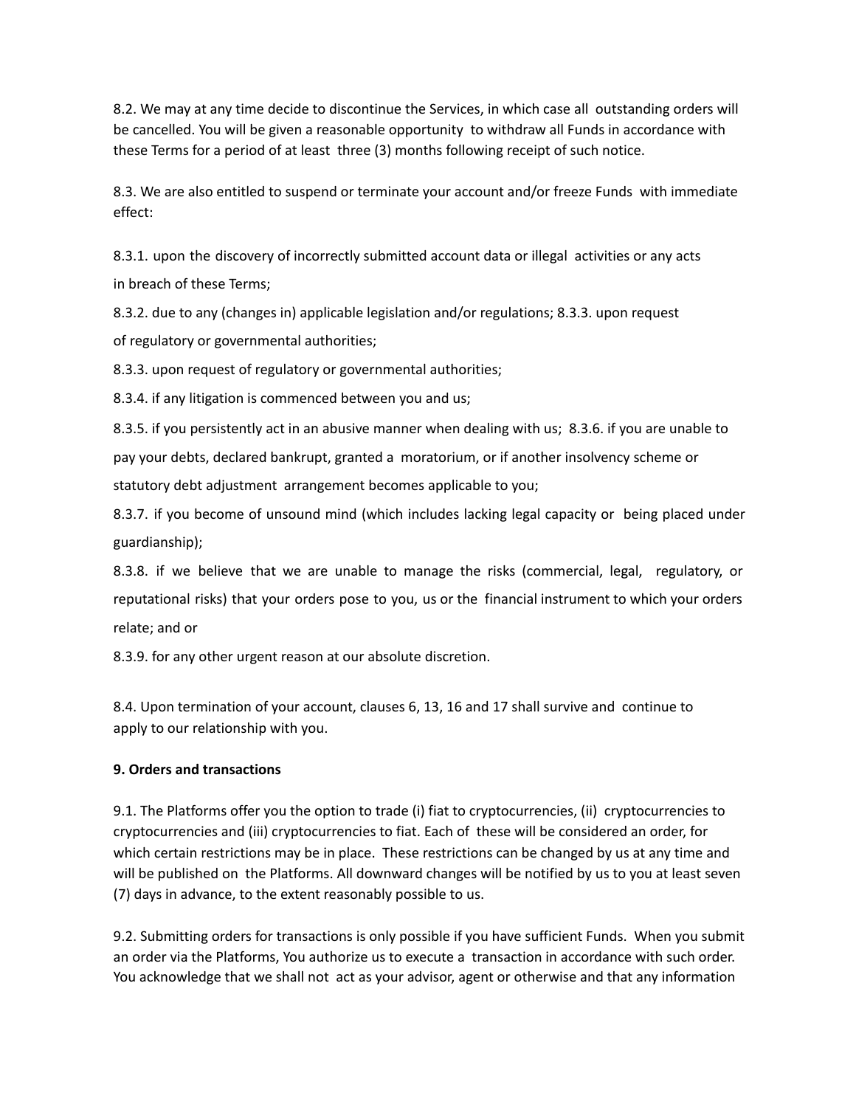8.2. We may at any time decide to discontinue the Services, in which case all outstanding orders will be cancelled. You will be given a reasonable opportunity to withdraw all Funds in accordance with these Terms for a period of at least three (3) months following receipt of such notice.

8.3. We are also entitled to suspend or terminate your account and/or freeze Funds with immediate effect:

8.3.1. upon the discovery of incorrectly submitted account data or illegal activities or any acts in breach of these Terms;

8.3.2. due to any (changes in) applicable legislation and/or regulations; 8.3.3. upon request of regulatory or governmental authorities;

8.3.3. upon request of regulatory or governmental authorities;

8.3.4. if any litigation is commenced between you and us;

8.3.5. if you persistently act in an abusive manner when dealing with us; 8.3.6. if you are unable to pay your debts, declared bankrupt, granted a moratorium, or if another insolvency scheme or statutory debt adjustment arrangement becomes applicable to you;

8.3.7. if you become of unsound mind (which includes lacking legal capacity or being placed under guardianship);

8.3.8. if we believe that we are unable to manage the risks (commercial, legal, regulatory, or reputational risks) that your orders pose to you, us or the financial instrument to which your orders relate; and or

8.3.9. for any other urgent reason at our absolute discretion.

8.4. Upon termination of your account, clauses 6, 13, 16 and 17 shall survive and continue to apply to our relationship with you.

# **9. Orders and transactions**

9.1. The Platforms offer you the option to trade (i) fiat to cryptocurrencies, (ii) cryptocurrencies to cryptocurrencies and (iii) cryptocurrencies to fiat. Each of these will be considered an order, for which certain restrictions may be in place. These restrictions can be changed by us at any time and will be published on the Platforms. All downward changes will be notified by us to you at least seven (7) days in advance, to the extent reasonably possible to us.

9.2. Submitting orders for transactions is only possible if you have sufficient Funds. When you submit an order via the Platforms, You authorize us to execute a transaction in accordance with such order. You acknowledge that we shall not act as your advisor, agent or otherwise and that any information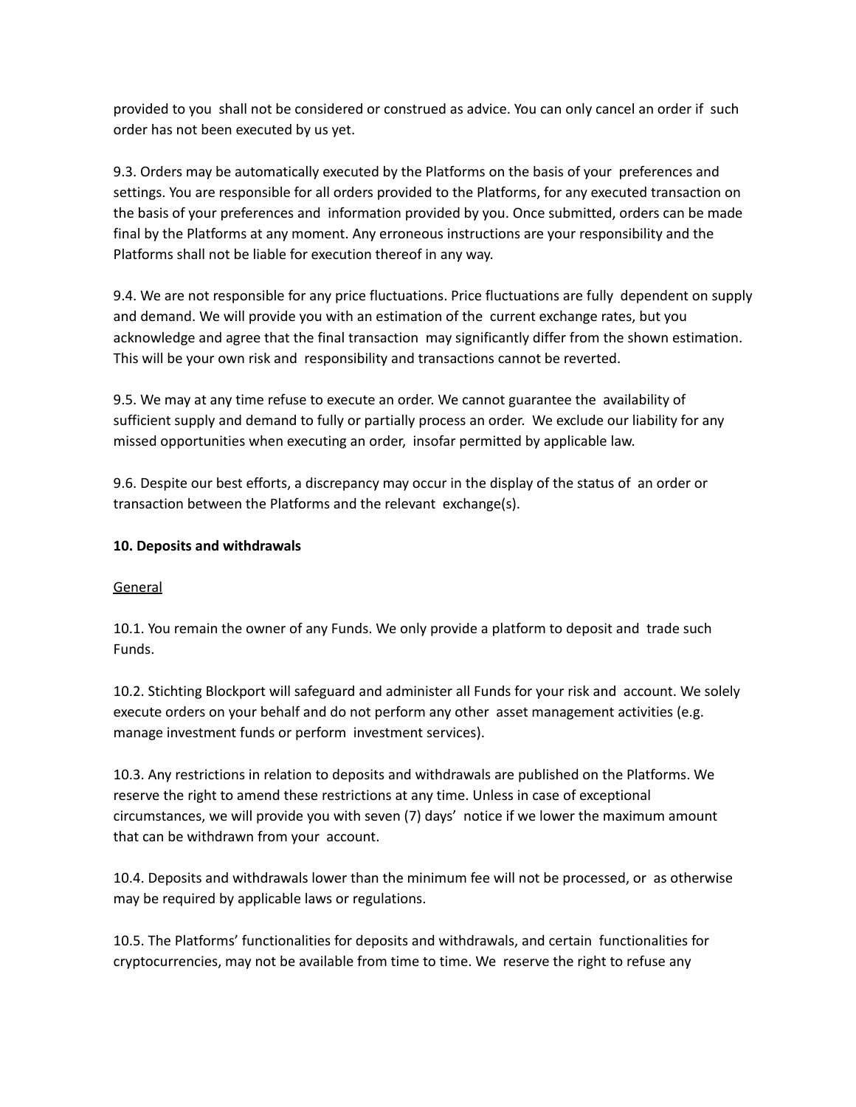provided to you shall not be considered or construed as advice. You can only cancel an order if such order has not been executed by us yet.

9.3. Orders may be automatically executed by the Platforms on the basis of your preferences and settings. You are responsible for all orders provided to the Platforms, for any executed transaction on the basis of your preferences and information provided by you. Once submitted, orders can be made final by the Platforms at any moment. Any erroneous instructions are your responsibility and the Platforms shall not be liable for execution thereof in any way.

9.4. We are not responsible for any price fluctuations. Price fluctuations are fully dependent on supply and demand. We will provide you with an estimation of the current exchange rates, but you acknowledge and agree that the final transaction may significantly differ from the shown estimation. This will be your own risk and responsibility and transactions cannot be reverted.

9.5. We may at any time refuse to execute an order. We cannot guarantee the availability of sufficient supply and demand to fully or partially process an order. We exclude our liability for any missed opportunities when executing an order, insofar permitted by applicable law.

9.6. Despite our best efforts, a discrepancy may occur in the display of the status of an order or transaction between the Platforms and the relevant exchange(s).

# **10. Deposits and withdrawals**

#### General

10.1. You remain the owner of any Funds. We only provide a platform to deposit and trade such Funds.

10.2. Stichting Blockport will safeguard and administer all Funds for your risk and account. We solely execute orders on your behalf and do not perform any other asset management activities (e.g. manage investment funds or perform investment services).

10.3. Any restrictions in relation to deposits and withdrawals are published on the Platforms. We reserve the right to amend these restrictions at any time. Unless in case of exceptional circumstances, we will provide you with seven (7) days' notice if we lower the maximum amount that can be withdrawn from your account.

10.4. Deposits and withdrawals lower than the minimum fee will not be processed, or as otherwise may be required by applicable laws or regulations.

10.5. The Platforms' functionalities for deposits and withdrawals, and certain functionalities for cryptocurrencies, may not be available from time to time. We reserve the right to refuse any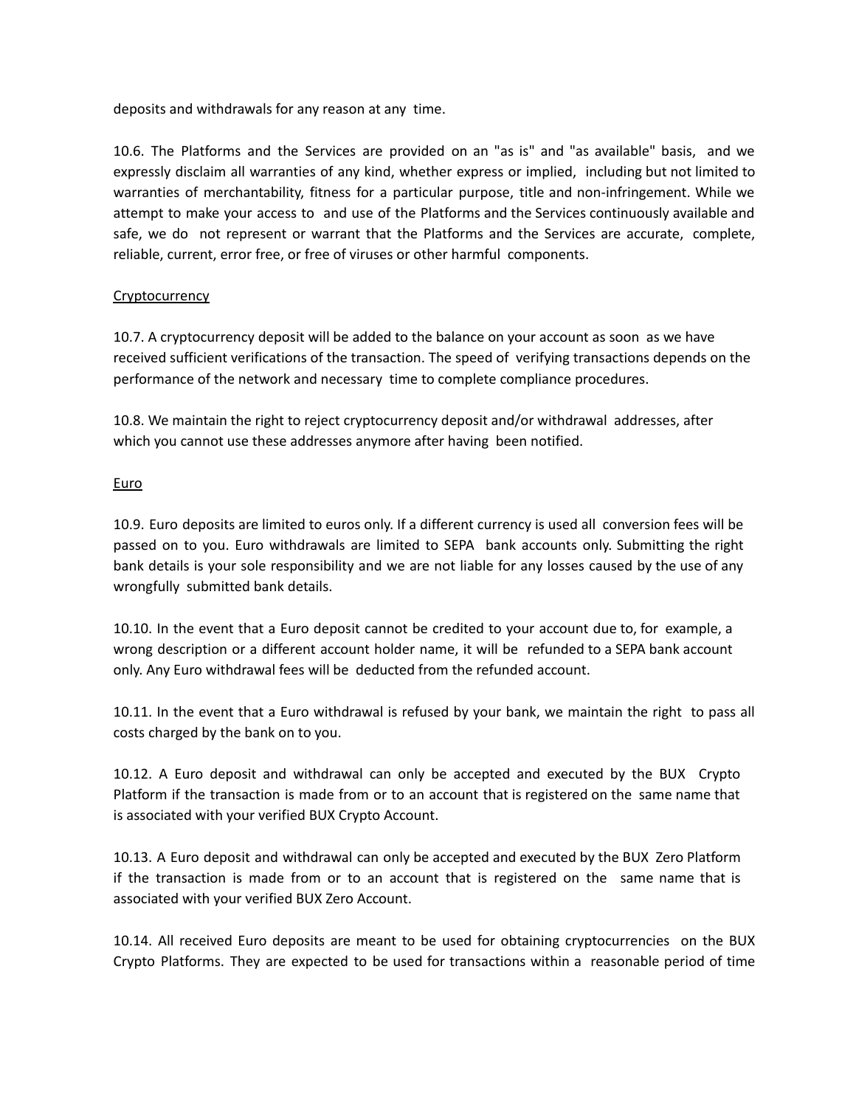deposits and withdrawals for any reason at any time.

10.6. The Platforms and the Services are provided on an "as is" and "as available" basis, and we expressly disclaim all warranties of any kind, whether express or implied, including but not limited to warranties of merchantability, fitness for a particular purpose, title and non-infringement. While we attempt to make your access to and use of the Platforms and the Services continuously available and safe, we do not represent or warrant that the Platforms and the Services are accurate, complete, reliable, current, error free, or free of viruses or other harmful components.

#### **Cryptocurrency**

10.7. A cryptocurrency deposit will be added to the balance on your account as soon as we have received sufficient verifications of the transaction. The speed of verifying transactions depends on the performance of the network and necessary time to complete compliance procedures.

10.8. We maintain the right to reject cryptocurrency deposit and/or withdrawal addresses, after which you cannot use these addresses anymore after having been notified.

#### Euro

10.9. Euro deposits are limited to euros only. If a different currency is used all conversion fees will be passed on to you. Euro withdrawals are limited to SEPA bank accounts only. Submitting the right bank details is your sole responsibility and we are not liable for any losses caused by the use of any wrongfully submitted bank details.

10.10. In the event that a Euro deposit cannot be credited to your account due to, for example, a wrong description or a different account holder name, it will be refunded to a SEPA bank account only. Any Euro withdrawal fees will be deducted from the refunded account.

10.11. In the event that a Euro withdrawal is refused by your bank, we maintain the right to pass all costs charged by the bank on to you.

10.12. A Euro deposit and withdrawal can only be accepted and executed by the BUX Crypto Platform if the transaction is made from or to an account that is registered on the same name that is associated with your verified BUX Crypto Account.

10.13. A Euro deposit and withdrawal can only be accepted and executed by the BUX Zero Platform if the transaction is made from or to an account that is registered on the same name that is associated with your verified BUX Zero Account.

10.14. All received Euro deposits are meant to be used for obtaining cryptocurrencies on the BUX Crypto Platforms. They are expected to be used for transactions within a reasonable period of time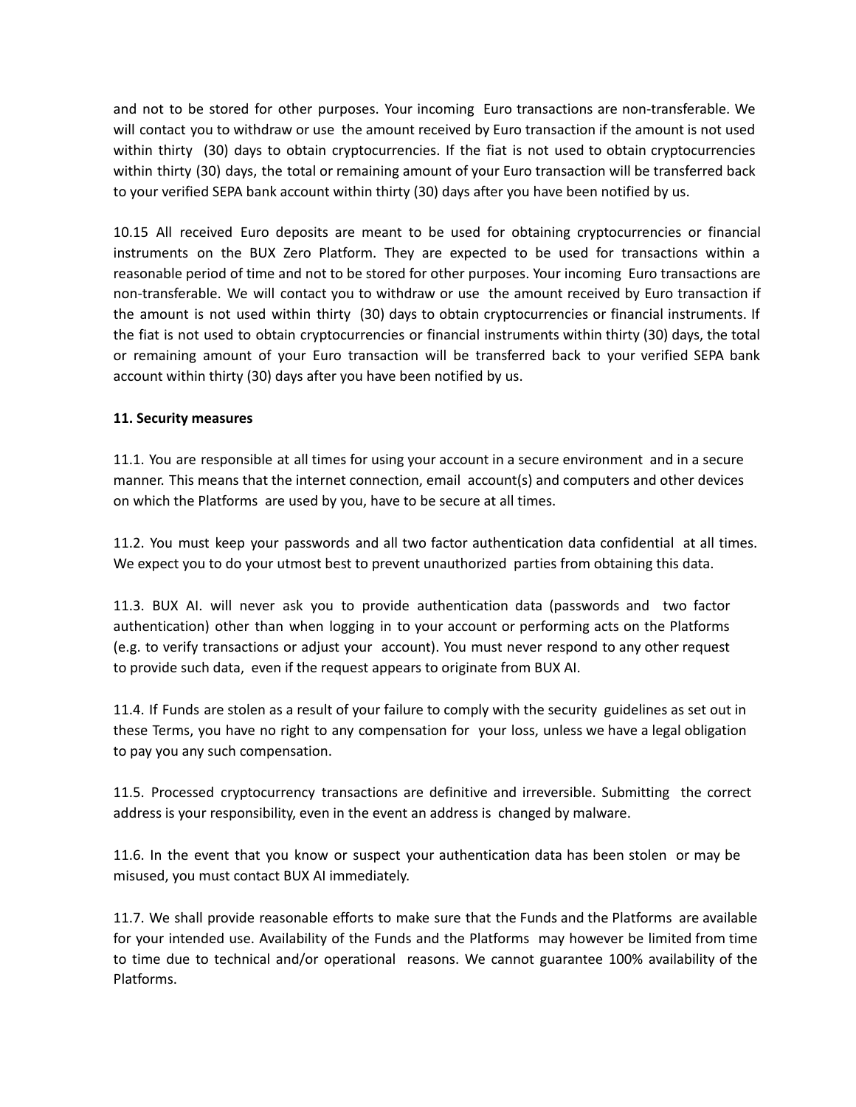and not to be stored for other purposes. Your incoming Euro transactions are non-transferable. We will contact you to withdraw or use the amount received by Euro transaction if the amount is not used within thirty (30) days to obtain cryptocurrencies. If the fiat is not used to obtain cryptocurrencies within thirty (30) days, the total or remaining amount of your Euro transaction will be transferred back to your verified SEPA bank account within thirty (30) days after you have been notified by us.

10.15 All received Euro deposits are meant to be used for obtaining cryptocurrencies or financial instruments on the BUX Zero Platform. They are expected to be used for transactions within a reasonable period of time and not to be stored for other purposes. Your incoming Euro transactions are non-transferable. We will contact you to withdraw or use the amount received by Euro transaction if the amount is not used within thirty (30) days to obtain cryptocurrencies or financial instruments. If the fiat is not used to obtain cryptocurrencies or financial instruments within thirty (30) days, the total or remaining amount of your Euro transaction will be transferred back to your verified SEPA bank account within thirty (30) days after you have been notified by us.

#### **11. Security measures**

11.1. You are responsible at all times for using your account in a secure environment and in a secure manner. This means that the internet connection, email account(s) and computers and other devices on which the Platforms are used by you, have to be secure at all times.

11.2. You must keep your passwords and all two factor authentication data confidential at all times. We expect you to do your utmost best to prevent unauthorized parties from obtaining this data.

11.3. BUX AI. will never ask you to provide authentication data (passwords and two factor authentication) other than when logging in to your account or performing acts on the Platforms (e.g. to verify transactions or adjust your account). You must never respond to any other request to provide such data, even if the request appears to originate from BUX AI.

11.4. If Funds are stolen as a result of your failure to comply with the security guidelines as set out in these Terms, you have no right to any compensation for your loss, unless we have a legal obligation to pay you any such compensation.

11.5. Processed cryptocurrency transactions are definitive and irreversible. Submitting the correct address is your responsibility, even in the event an address is changed by malware.

11.6. In the event that you know or suspect your authentication data has been stolen or may be misused, you must contact BUX AI immediately.

11.7. We shall provide reasonable efforts to make sure that the Funds and the Platforms are available for your intended use. Availability of the Funds and the Platforms may however be limited from time to time due to technical and/or operational reasons. We cannot guarantee 100% availability of the Platforms.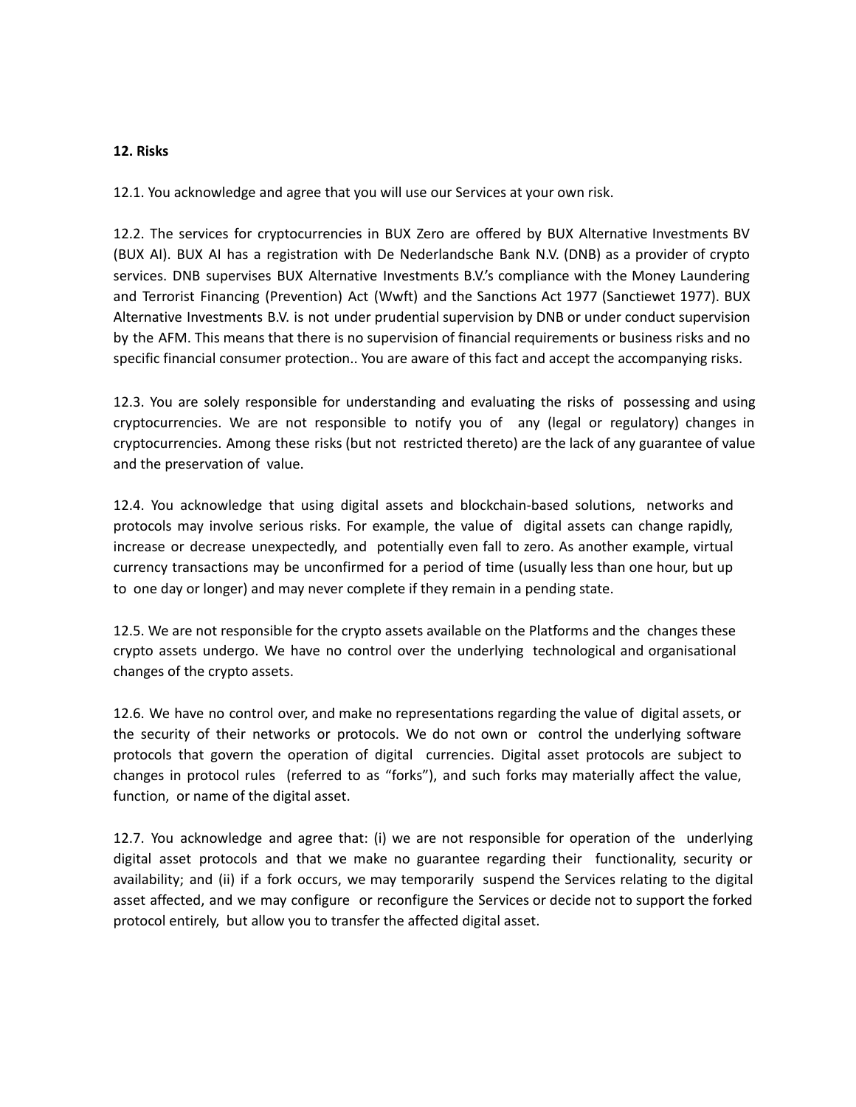#### **12. Risks**

12.1. You acknowledge and agree that you will use our Services at your own risk.

12.2. The services for cryptocurrencies in BUX Zero are offered by BUX Alternative Investments BV (BUX AI). BUX AI has a registration with De Nederlandsche Bank N.V. (DNB) as a provider of crypto services. DNB supervises BUX Alternative Investments B.V.'s compliance with the Money Laundering and Terrorist Financing (Prevention) Act (Wwft) and the Sanctions Act 1977 (Sanctiewet 1977). BUX Alternative Investments B.V. is not under prudential supervision by DNB or under conduct supervision by the AFM. This means that there is no supervision of financial requirements or business risks and no specific financial consumer protection.. You are aware of this fact and accept the accompanying risks.

12.3. You are solely responsible for understanding and evaluating the risks of possessing and using cryptocurrencies. We are not responsible to notify you of any (legal or regulatory) changes in cryptocurrencies. Among these risks (but not restricted thereto) are the lack of any guarantee of value and the preservation of value.

12.4. You acknowledge that using digital assets and blockchain-based solutions, networks and protocols may involve serious risks. For example, the value of digital assets can change rapidly, increase or decrease unexpectedly, and potentially even fall to zero. As another example, virtual currency transactions may be unconfirmed for a period of time (usually less than one hour, but up to one day or longer) and may never complete if they remain in a pending state.

12.5. We are not responsible for the crypto assets available on the Platforms and the changes these crypto assets undergo. We have no control over the underlying technological and organisational changes of the crypto assets.

12.6. We have no control over, and make no representations regarding the value of digital assets, or the security of their networks or protocols. We do not own or control the underlying software protocols that govern the operation of digital currencies. Digital asset protocols are subject to changes in protocol rules (referred to as "forks"), and such forks may materially affect the value, function, or name of the digital asset.

12.7. You acknowledge and agree that: (i) we are not responsible for operation of the underlying digital asset protocols and that we make no guarantee regarding their functionality, security or availability; and (ii) if a fork occurs, we may temporarily suspend the Services relating to the digital asset affected, and we may configure or reconfigure the Services or decide not to support the forked protocol entirely, but allow you to transfer the affected digital asset.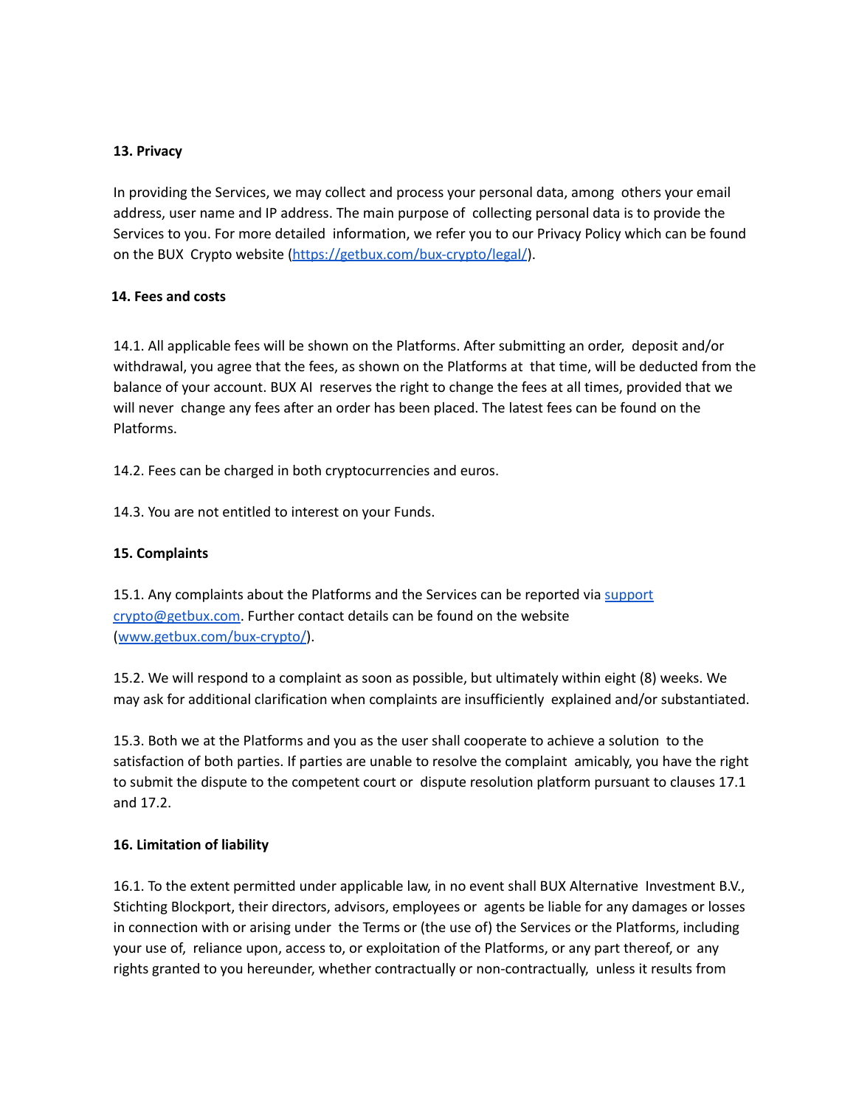#### **13. Privacy**

In providing the Services, we may collect and process your personal data, among others your email address, user name and IP address. The main purpose of collecting personal data is to provide the Services to you. For more detailed information, we refer you to our Privacy Policy which can be found on the BUX Crypto website (https://getbux.com/bux-crypto/legal/).

#### **14. Fees and costs**

14.1. All applicable fees will be shown on the Platforms. After submitting an order, deposit and/or withdrawal, you agree that the fees, as shown on the Platforms at that time, will be deducted from the balance of your account. BUX AI reserves the right to change the fees at all times, provided that we will never change any fees after an order has been placed. The latest fees can be found on the Platforms.

14.2. Fees can be charged in both cryptocurrencies and euros.

14.3. You are not entitled to interest on your Funds.

# **15. Complaints**

15.1. Any complaints about the Platforms and the Services can be reported via support crypto@getbux.com. Further contact details can be found on the website (www.getbux.com/bux-crypto/).

15.2. We will respond to a complaint as soon as possible, but ultimately within eight (8) weeks. We may ask for additional clarification when complaints are insufficiently explained and/or substantiated.

15.3. Both we at the Platforms and you as the user shall cooperate to achieve a solution to the satisfaction of both parties. If parties are unable to resolve the complaint amicably, you have the right to submit the dispute to the competent court or dispute resolution platform pursuant to clauses 17.1 and 17.2.

#### **16. Limitation of liability**

16.1. To the extent permitted under applicable law, in no event shall BUX Alternative Investment B.V., Stichting Blockport, their directors, advisors, employees or agents be liable for any damages or losses in connection with or arising under the Terms or (the use of) the Services or the Platforms, including your use of, reliance upon, access to, or exploitation of the Platforms, or any part thereof, or any rights granted to you hereunder, whether contractually or non-contractually, unless it results from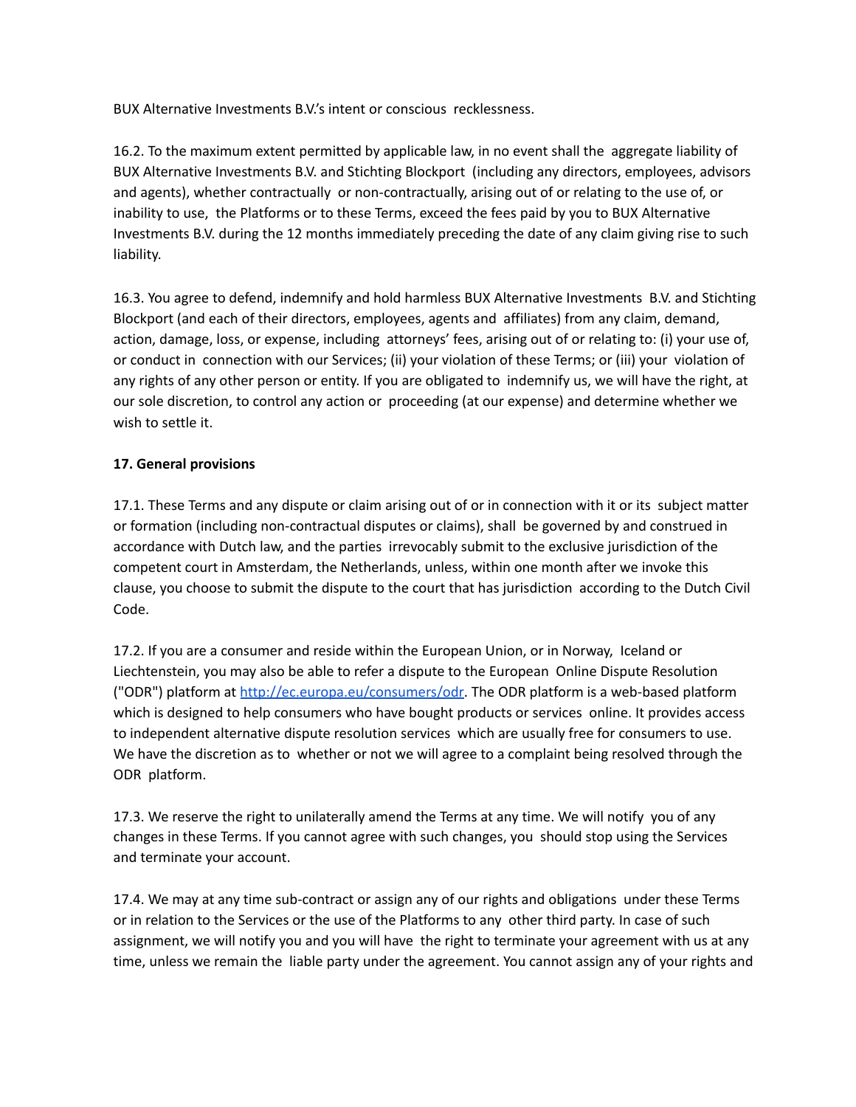BUX Alternative Investments B.V.'s intent or conscious recklessness.

16.2. To the maximum extent permitted by applicable law, in no event shall the aggregate liability of BUX Alternative Investments B.V. and Stichting Blockport (including any directors, employees, advisors and agents), whether contractually or non-contractually, arising out of or relating to the use of, or inability to use, the Platforms or to these Terms, exceed the fees paid by you to BUX Alternative Investments B.V. during the 12 months immediately preceding the date of any claim giving rise to such liability.

16.3. You agree to defend, indemnify and hold harmless BUX Alternative Investments B.V. and Stichting Blockport (and each of their directors, employees, agents and affiliates) from any claim, demand, action, damage, loss, or expense, including attorneys' fees, arising out of or relating to: (i) your use of, or conduct in connection with our Services; (ii) your violation of these Terms; or (iii) your violation of any rights of any other person or entity. If you are obligated to indemnify us, we will have the right, at our sole discretion, to control any action or proceeding (at our expense) and determine whether we wish to settle it.

# **17. General provisions**

17.1. These Terms and any dispute or claim arising out of or in connection with it or its subject matter or formation (including non-contractual disputes or claims), shall be governed by and construed in accordance with Dutch law, and the parties irrevocably submit to the exclusive jurisdiction of the competent court in Amsterdam, the Netherlands, unless, within one month after we invoke this clause, you choose to submit the dispute to the court that has jurisdiction according to the Dutch Civil Code.

17.2. If you are a consumer and reside within the European Union, or in Norway, Iceland or Liechtenstein, you may also be able to refer a dispute to the European Online Dispute Resolution ("ODR") platform at http://ec.europa.eu/consumers/odr. The ODR platform is a web-based platform which is designed to help consumers who have bought products or services online. It provides access to independent alternative dispute resolution services which are usually free for consumers to use. We have the discretion as to whether or not we will agree to a complaint being resolved through the ODR platform.

17.3. We reserve the right to unilaterally amend the Terms at any time. We will notify you of any changes in these Terms. If you cannot agree with such changes, you should stop using the Services and terminate your account.

17.4. We may at any time sub-contract or assign any of our rights and obligations under these Terms or in relation to the Services or the use of the Platforms to any other third party. In case of such assignment, we will notify you and you will have the right to terminate your agreement with us at any time, unless we remain the liable party under the agreement. You cannot assign any of your rights and